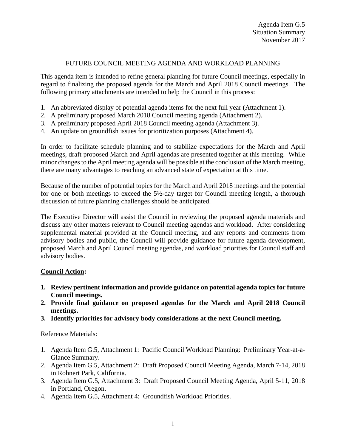## FUTURE COUNCIL MEETING AGENDA AND WORKLOAD PLANNING

This agenda item is intended to refine general planning for future Council meetings, especially in regard to finalizing the proposed agenda for the March and April 2018 Council meetings. The following primary attachments are intended to help the Council in this process:

- 1. An abbreviated display of potential agenda items for the next full year (Attachment 1).
- 2. A preliminary proposed March 2018 Council meeting agenda (Attachment 2).
- 3. A preliminary proposed April 2018 Council meeting agenda (Attachment 3).
- 4. An update on groundfish issues for prioritization purposes (Attachment 4).

In order to facilitate schedule planning and to stabilize expectations for the March and April meetings, draft proposed March and April agendas are presented together at this meeting. While minor changes to the April meeting agenda will be possible at the conclusion of the March meeting, there are many advantages to reaching an advanced state of expectation at this time.

Because of the number of potential topics for the March and April 2018 meetings and the potential for one or both meetings to exceed the 5½-day target for Council meeting length, a thorough discussion of future planning challenges should be anticipated.

The Executive Director will assist the Council in reviewing the proposed agenda materials and discuss any other matters relevant to Council meeting agendas and workload. After considering supplemental material provided at the Council meeting, and any reports and comments from advisory bodies and public, the Council will provide guidance for future agenda development, proposed March and April Council meeting agendas, and workload priorities for Council staff and advisory bodies.

## **Council Action:**

- **1. Review pertinent information and provide guidance on potential agenda topics for future Council meetings.**
- **2. Provide final guidance on proposed agendas for the March and April 2018 Council meetings.**
- **3. Identify priorities for advisory body considerations at the next Council meeting.**

## Reference Materials:

- 1. Agenda Item G.5, Attachment 1: Pacific Council Workload Planning: Preliminary Year-at-a-Glance Summary.
- 2. Agenda Item G.5, Attachment 2: Draft Proposed Council Meeting Agenda, March 7-14, 2018 in Rohnert Park, California.
- 3. Agenda Item G.5, Attachment 3: Draft Proposed Council Meeting Agenda, April 5-11, 2018 in Portland, Oregon.
- 4. Agenda Item G.5, Attachment 4: Groundfish Workload Priorities.